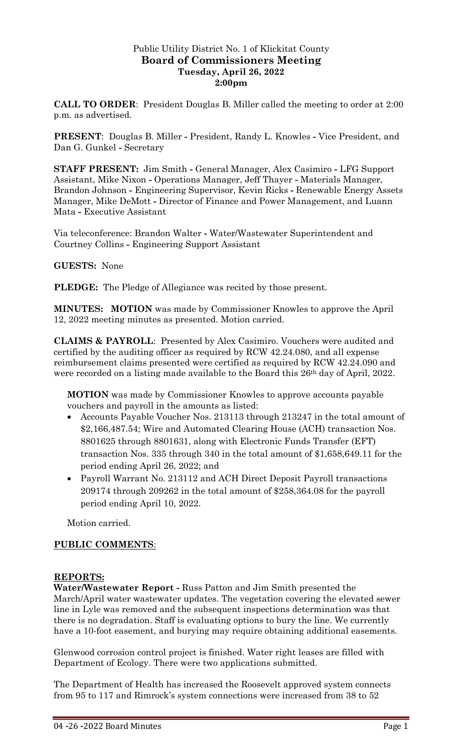### Public Utility District No. 1 of Klickitat County **Board of Commissioners Meeting Tuesday, April 26, 2022 2:00pm**

**CALL TO ORDER**: President Douglas B. Miller called the meeting to order at 2:00 p.m. as advertised.

**PRESENT**: Douglas B. Miller **-** President, Randy L. Knowles **-** Vice President, and Dan G. Gunkel **-** Secretary

**STAFF PRESENT:** Jim Smith **-** General Manager, Alex Casimiro **-** LFG Support Assistant, Mike Nixon **-** Operations Manager, Jeff Thayer **-** Materials Manager, Brandon Johnson **-** Engineering Supervisor, Kevin Ricks **-** Renewable Energy Assets Manager, Mike DeMott **-** Director of Finance and Power Management, and Luann Mata **-** Executive Assistant

Via teleconference: Brandon Walter **-** Water/Wastewater Superintendent and Courtney Collins **-** Engineering Support Assistant

### **GUESTS:** None

**PLEDGE:** The Pledge of Allegiance was recited by those present.

**MINUTES: MOTION** was made by Commissioner Knowles to approve the April 12, 2022 meeting minutes as presented. Motion carried.

**CLAIMS & PAYROLL**: Presented by Alex Casimiro. Vouchers were audited and certified by the auditing officer as required by RCW 42.24.080, and all expense reimbursement claims presented were certified as required by RCW 42.24.090 and were recorded on a listing made available to the Board this 26th day of April, 2022.

**MOTION** was made by Commissioner Knowles to approve accounts payable vouchers and payroll in the amounts as listed:

- Accounts Payable Voucher Nos. 213113 through 213247 in the total amount of \$2,166,487.54; Wire and Automated Clearing House (ACH) transaction Nos. 8801625 through 8801631, along with Electronic Funds Transfer (EFT) transaction Nos. 335 through 340 in the total amount of \$1,658,649.11 for the period ending April 26, 2022; and
- Payroll Warrant No. 213112 and ACH Direct Deposit Payroll transactions 209174 through 209262 in the total amount of \$258,364.08 for the payroll period ending April 10, 2022.

Motion carried.

# **PUBLIC COMMENTS**:

### **REPORTS:**

**Water/Wastewater Report -** Russ Patton and Jim Smith presented the March/April water wastewater updates. The vegetation covering the elevated sewer line in Lyle was removed and the subsequent inspections determination was that there is no degradation. Staff is evaluating options to bury the line. We currently have a 10-foot easement, and burying may require obtaining additional easements.

Glenwood corrosion control project is finished. Water right leases are filled with Department of Ecology. There were two applications submitted.

The Department of Health has increased the Roosevelt approved system connects from 95 to 117 and Rimrock's system connections were increased from 38 to 52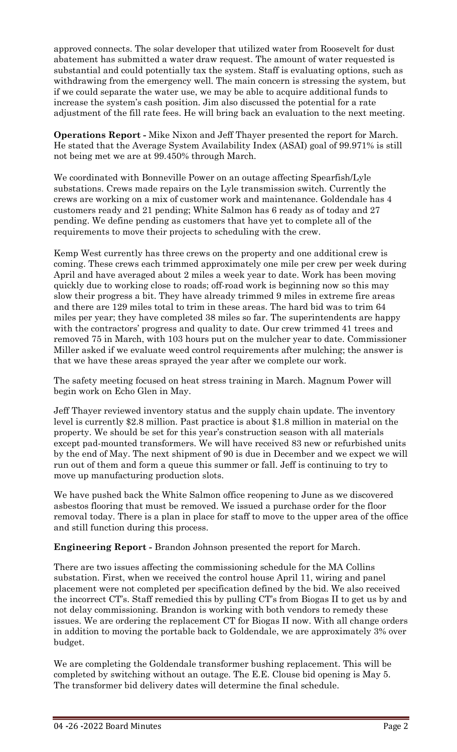approved connects. The solar developer that utilized water from Roosevelt for dust abatement has submitted a water draw request. The amount of water requested is substantial and could potentially tax the system. Staff is evaluating options, such as withdrawing from the emergency well. The main concern is stressing the system, but if we could separate the water use, we may be able to acquire additional funds to increase the system's cash position. Jim also discussed the potential for a rate adjustment of the fill rate fees. He will bring back an evaluation to the next meeting.

**Operations Report -** Mike Nixon and Jeff Thayer presented the report for March. He stated that the Average System Availability Index (ASAI) goal of 99.971% is still not being met we are at 99.450% through March.

We coordinated with Bonneville Power on an outage affecting Spearfish/Lyle substations. Crews made repairs on the Lyle transmission switch. Currently the crews are working on a mix of customer work and maintenance. Goldendale has 4 customers ready and 21 pending; White Salmon has 6 ready as of today and 27 pending. We define pending as customers that have yet to complete all of the requirements to move their projects to scheduling with the crew.

Kemp West currently has three crews on the property and one additional crew is coming. These crews each trimmed approximately one mile per crew per week during April and have averaged about 2 miles a week year to date. Work has been moving quickly due to working close to roads; off-road work is beginning now so this may slow their progress a bit. They have already trimmed 9 miles in extreme fire areas and there are 129 miles total to trim in these areas. The hard bid was to trim 64 miles per year; they have completed 38 miles so far. The superintendents are happy with the contractors' progress and quality to date. Our crew trimmed 41 trees and removed 75 in March, with 103 hours put on the mulcher year to date. Commissioner Miller asked if we evaluate weed control requirements after mulching; the answer is that we have these areas sprayed the year after we complete our work.

The safety meeting focused on heat stress training in March. Magnum Power will begin work on Echo Glen in May.

Jeff Thayer reviewed inventory status and the supply chain update. The inventory level is currently \$2.8 million. Past practice is about \$1.8 million in material on the property. We should be set for this year's construction season with all materials except pad-mounted transformers. We will have received 83 new or refurbished units by the end of May. The next shipment of 90 is due in December and we expect we will run out of them and form a queue this summer or fall. Jeff is continuing to try to move up manufacturing production slots.

We have pushed back the White Salmon office reopening to June as we discovered asbestos flooring that must be removed. We issued a purchase order for the floor removal today. There is a plan in place for staff to move to the upper area of the office and still function during this process.

**Engineering Report -** Brandon Johnson presented the report for March.

There are two issues affecting the commissioning schedule for the MA Collins substation. First, when we received the control house April 11, wiring and panel placement were not completed per specification defined by the bid. We also received the incorrect CT's. Staff remedied this by pulling CT's from Biogas II to get us by and not delay commissioning. Brandon is working with both vendors to remedy these issues. We are ordering the replacement CT for Biogas II now. With all change orders in addition to moving the portable back to Goldendale, we are approximately 3% over budget.

We are completing the Goldendale transformer bushing replacement. This will be completed by switching without an outage. The E.E. Clouse bid opening is May 5. The transformer bid delivery dates will determine the final schedule.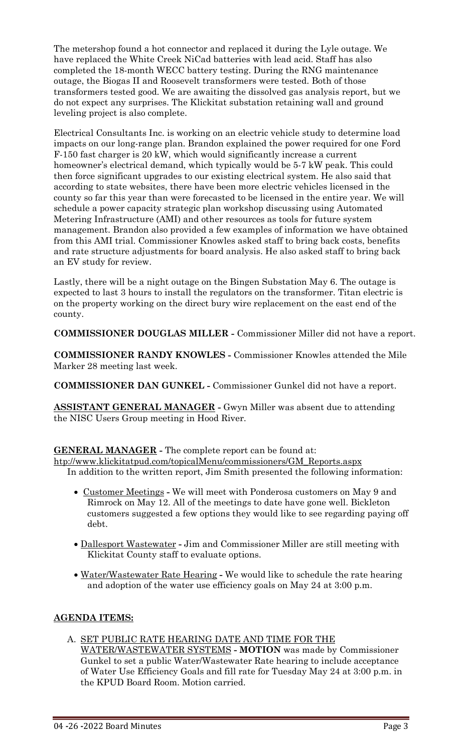The metershop found a hot connector and replaced it during the Lyle outage. We have replaced the White Creek NiCad batteries with lead acid. Staff has also completed the 18-month WECC battery testing. During the RNG maintenance outage, the Biogas II and Roosevelt transformers were tested. Both of those transformers tested good. We are awaiting the dissolved gas analysis report, but we do not expect any surprises. The Klickitat substation retaining wall and ground leveling project is also complete.

Electrical Consultants Inc. is working on an electric vehicle study to determine load impacts on our long-range plan. Brandon explained the power required for one Ford F-150 fast charger is 20 kW, which would significantly increase a current homeowner's electrical demand, which typically would be 5-7 kW peak. This could then force significant upgrades to our existing electrical system. He also said that according to state websites, there have been more electric vehicles licensed in the county so far this year than were forecasted to be licensed in the entire year. We will schedule a power capacity strategic plan workshop discussing using Automated Metering Infrastructure (AMI) and other resources as tools for future system management. Brandon also provided a few examples of information we have obtained from this AMI trial. Commissioner Knowles asked staff to bring back costs, benefits and rate structure adjustments for board analysis. He also asked staff to bring back an EV study for review.

Lastly, there will be a night outage on the Bingen Substation May 6. The outage is expected to last 3 hours to install the regulators on the transformer. Titan electric is on the property working on the direct bury wire replacement on the east end of the county.

**COMMISSIONER DOUGLAS MILLER -** Commissioner Miller did not have a report.

**COMMISSIONER RANDY KNOWLES -** Commissioner Knowles attended the Mile Marker 28 meeting last week.

**COMMISSIONER DAN GUNKEL -** Commissioner Gunkel did not have a report.

**ASSISTANT GENERAL MANAGER -** Gwyn Miller was absent due to attending the NISC Users Group meeting in Hood River.

**GENERAL MANAGER -** The complete report can be found at:

[htp://www.klickitatpud.com/topicalMenu/commissioners/GM\\_Reports.aspx](http://www.klickitatpud.com/topicalMenu/commissioners/GM_Reports.aspx) In addition to the written report, Jim Smith presented the following information:

- Customer Meetings **-** We will meet with Ponderosa customers on May 9 and Rimrock on May 12. All of the meetings to date have gone well. Bickleton customers suggested a few options they would like to see regarding paying off debt.
- Dallesport Wastewater **-** Jim and Commissioner Miller are still meeting with Klickitat County staff to evaluate options.
- Water/Wastewater Rate Hearing **-** We would like to schedule the rate hearing and adoption of the water use efficiency goals on May 24 at 3:00 p.m.

# **AGENDA ITEMS:**

A. SET PUBLIC RATE HEARING DATE AND TIME FOR THE WATER/WASTEWATER SYSTEMS **- MOTION** was made by Commissioner Gunkel to set a public Water/Wastewater Rate hearing to include acceptance of Water Use Efficiency Goals and fill rate for Tuesday May 24 at 3:00 p.m. in the KPUD Board Room. Motion carried.